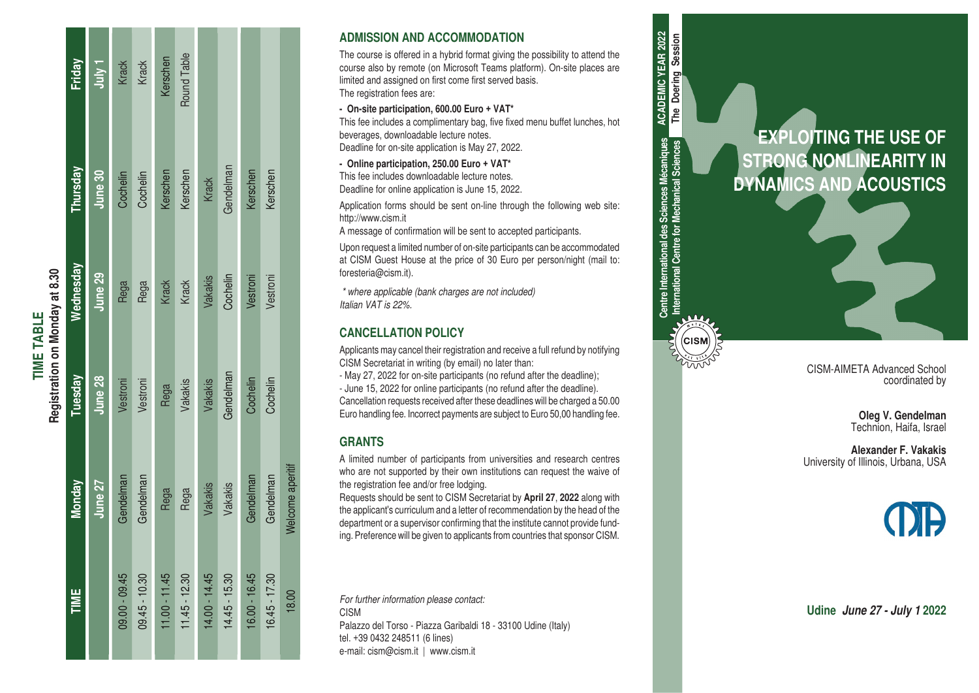| Registration on Monday at 8.30 | Friday    | $1$ yiuly $1$ | Krack         | Krack         | Kerschen        | Round Table     |                 |                 |               |               |                  |
|--------------------------------|-----------|---------------|---------------|---------------|-----------------|-----------------|-----------------|-----------------|---------------|---------------|------------------|
|                                | Thursday  | June 30       | Cochelin      | Cochelin      | Kerschen        | Kerschen        | Krack           | Gendelman       | Kerschen      | Kerschen      |                  |
|                                | Wednesday | June 29       | Rega          | Rega          | Krack           | Krack           | Vakakis         | Cochelin        | Vestroni      | Vestroni      |                  |
|                                | Tuesday   | June 28       | Vestroni      | Vestroni      | Rega            | Vakakis         | Vakakis         | Gendelman       | Cochelin      | Cochelin      |                  |
|                                | Monday    | June 27       | Gendelman     | Gendelman     | Rega            | Rega            | Vakakis         | Vakakis         | Gendelman     | Gendelman     | Welcome aperitif |
|                                | TIME      |               | 09.00 - 09.45 | 09.45 - 10.30 | $11.00 - 11.45$ | $11.45 - 12.30$ | $14.00 - 14.45$ | $14.45 - 15.30$ | 16.00 - 16.45 | 16.45 - 17.30 | 18.00            |

**TIME TABLE**

**TIME TABLE** 

## **ADMISSION AND ACCOMMODATION**

The course is offered in a hybrid format giving the possibility to attend the course also by remote (on Microsoft Teams platform). On-site places are limited and assigned on first come first served basis. The registration fees are:

### **- On-site participation, 600.00 Euro + VAT\***

This fee includes a complimentary bag, five fixed menu buffet lunches, hot beverages, downloadable lecture notes. Deadline for on-site application is May 27, 2022.

**- Online participation, 250.00 Euro + VAT\***

This fee includes downloadable lecture notes. Deadline for online application is June 15, 2022.

Application forms should be sent on-line through the following web site: http://www.cism.it

A message of confirmation will be sent to accepted participants.

Upon request a limited number of on-site participants can be accommodated at CISM Guest House at the price of 30 Euro per person/night (mail to: foresteria@cism.it).

**Centre International des Sciences Mécaniques International Centre for Mechanical Sciences**

Centre International des Sciences Mécaniques<br>International Centre for Mechanical Sciences

(CISN

**ACADEMIC YEAR 2022 The Doering Session**

**ACADEMIC YEAR 2022** The Doering Session

*\* where applicable (bank charges are not included) Italian VAT is 22%.*

# **CANCELLATION POLICY**

Applicants may cancel their registration and receive a full refund by notifying CISM Secretariat in writing (by email) no later than:

- May 27, 2022 for on-site participants (no refund after the deadline); - June 15, 2022 for online participants (no refund after the deadline). Cancellation requests received after these deadlines will be charged a 50.00 Euro handling fee. Incorrect payments are subject to Euro 50,00 handling fee.

# **GRANTS**

A limited number of participants from universities and research centres who are not supported by their own institutions can request the waive of the registration fee and/or free lodging.

Requests should be sent to CISM Secretariat by **April 27**, **2022** along with the applicant's curriculum and a letter of recommendation by the head of the department or a supervisor confirming that the institute cannot provide fund ing. Preference will be given to applicants from countries that sponsor CISM.

*For further information please contact:* CISM Palazzo del Torso - Piazza Garibaldi 18 - 33100 Udine (Italy) tel. +39 0432 248511 (6 lines) e-mail: cism@cism.it | www.cism.it



CISM-AIMETA Advanced School coordinated by

> **Oleg V. Gendelman** Technion, Haifa, Israel

**Alexander F. Vakakis** University of Illinois, Urbana, USA



**Udine** *June 27 - July 1* **2022**